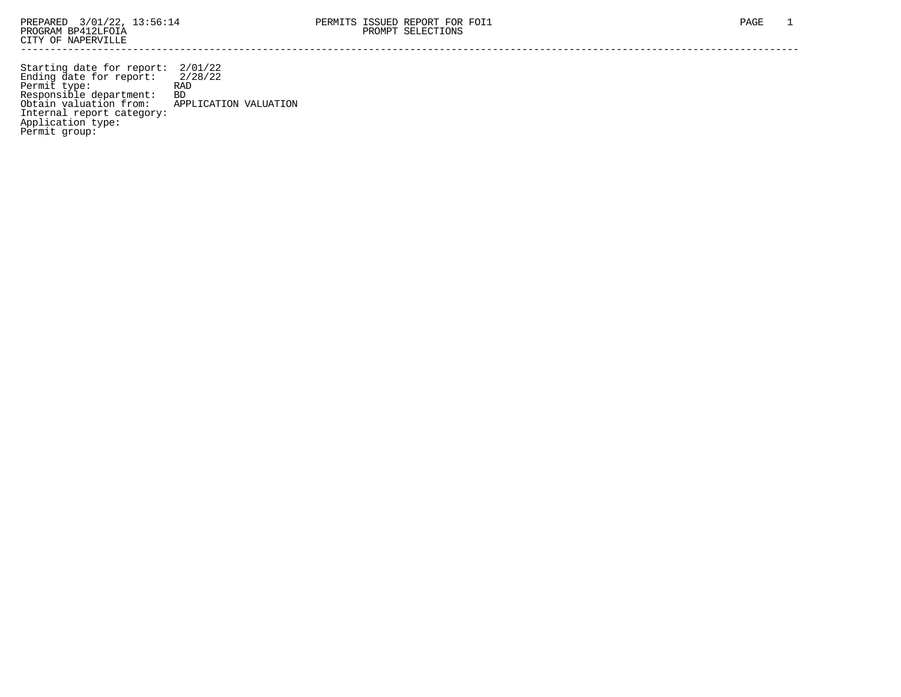Starting date for report: 2/01/22 Ending date for report: 2/28/22 Permit type: RAD Responsible department: BD Obtain valuation from: APPLICATION VALUATION Internal report category: Application type: Permit group: